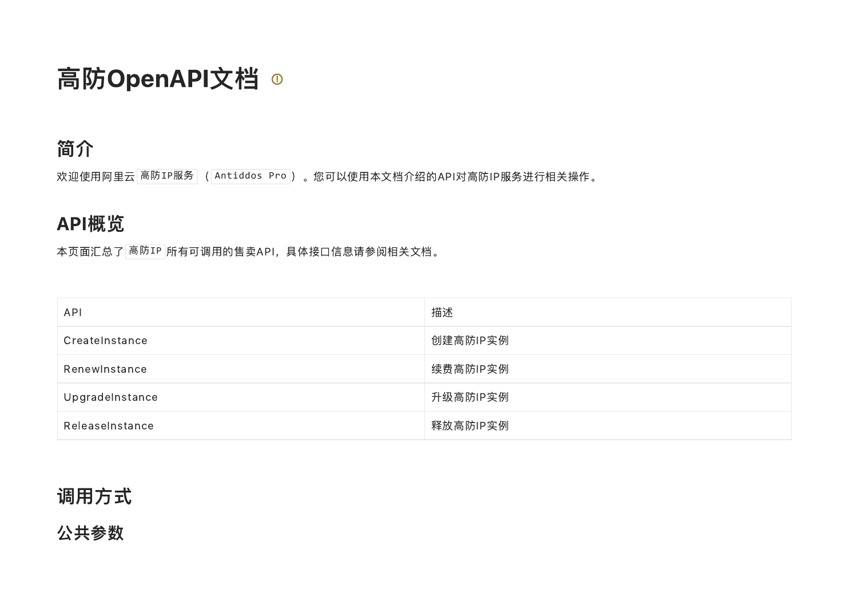# 高防OpenAPI文档 ◎

## 简介

欢迎使用阿里云 <mark>高防IP服务</mark> (<mark>Antiddos Pro</mark> )。您可以使用本文档介绍的API对高防IP服务进行相关操作。

## API概览

本页面汇总了 高防IP 所有可调用的售卖API,具体接口信息请参阅相关文档。

| <b>API</b>      | 描述       |
|-----------------|----------|
| CreateInstance  | 创建高防IP实例 |
| RenewInstance   | 续费高防IP实例 |
| UpgradeInstance | 升级高防IP实例 |
| ReleaseInstance | 释放高防IP实例 |

## 调用方式

## 公共参数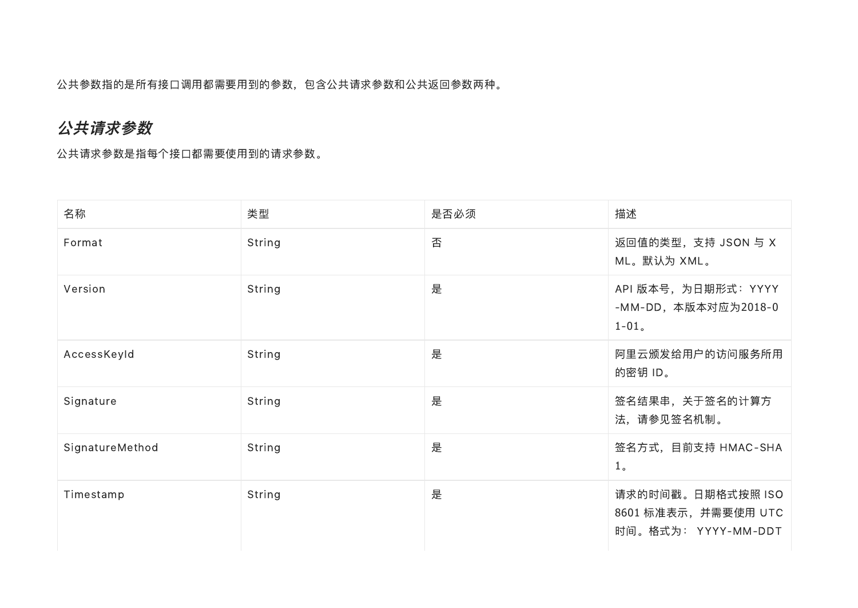公共参数指的是所有接口调用都需要用到的参数,包含公共请求参数和公共返回参数两种。

#### 公共请求参数

公共请求参数是指每个接口都需要使用到的请求参数。

| 名称              | 类型     | 是否必须 | 描述                                                               |
|-----------------|--------|------|------------------------------------------------------------------|
| Format          | String | 否    | 返回值的类型, 支持 JSON 与 X<br>ML。默认为 XML。                               |
| Version         | String | 是    | API 版本号, 为日期形式: YYYY<br>-MM-DD, 本版本对应为2018-0<br>$1-01$ .         |
| AccessKeyId     | String | 是    | 阿里云颁发给用户的访问服务所用<br>的密钥 ID。                                       |
| Signature       | String | 是    | 签名结果串,关于签名的计算方<br>法, 请参见签名机制。                                    |
| SignatureMethod | String | 是    | 签名方式, 目前支持 HMAC-SHA<br>1 <sub>o</sub>                            |
| Timestamp       | String | 是    | 请求的时间戳。日期格式按照 ISO<br>8601 标准表示, 并需要使用 UTC<br>时间。格式为: YYYY-MM-DDT |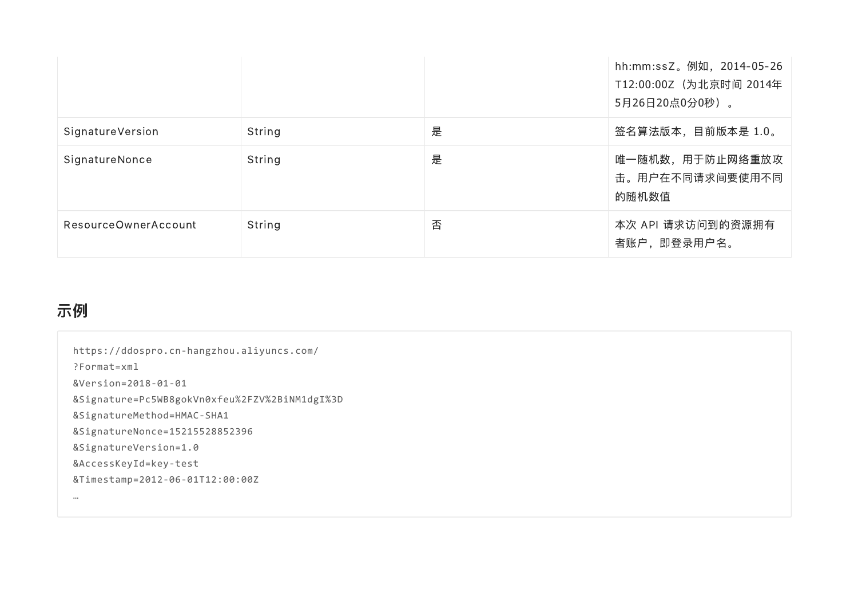|                      |        |   | hh:mm:ssZ。例如, 2014-05-26<br>T12:00:00Z (为北京时间 2014年<br>5月26日20点0分0秒)。 |
|----------------------|--------|---|-----------------------------------------------------------------------|
| SignatureVersion     | String | 是 | 签名算法版本,目前版本是 1.0。                                                     |
| SignatureNonce       | String | 是 | 唯一随机数,用于防止网络重放攻<br>击。用户在不同请求间要使用不同<br>的随机数值                           |
| ResourceOwnerAccount | String | 否 | 本次 API 请求访问到的资源拥有<br>者账户,即登录用户名。                                      |

## 示例

| https://ddospro.cn-hangzhou.aliyuncs.com/     |
|-----------------------------------------------|
| $?$ Format=xml                                |
| &Version=2018-01-01                           |
| &Signature=Pc5WB8gokVn0xfeu%2FZV%2BiNM1dgI%3D |
| &SignatureMethod=HMAC-SHA1                    |
| &SignatureNonce=15215528852396                |
| &SignatureVersion=1.0                         |
| &AccessKeyId=key-test                         |
| &Timestamp=2012-06-01T12:00:00Z               |
|                                               |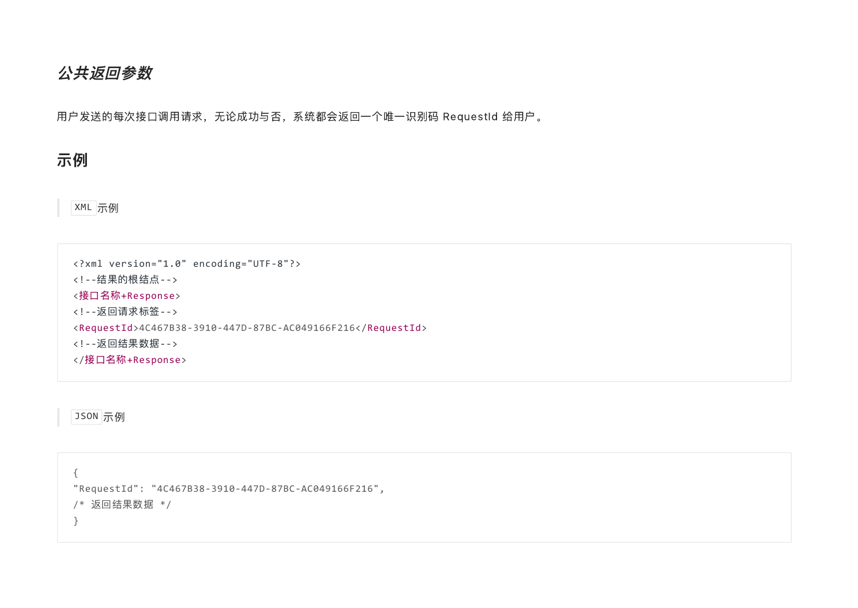#### 公共返回参数

用户发送的每次接口调用请求,无论成功与否,系统都会返回一个唯一识别码 RequestId 给用户。

示例

XML 示例

<?xml version="1.0" encoding="UTF‑8"?> <!‑‑结果的根结点‑‑> <接口名称+Response> <!‑‑返回请求标签‑‑> <RequestId>4C467B38‑3910‑447D‑87BC‑AC049166F216</RequestId> <!‑‑返回结果数据‑‑> </接口名称+Response>

JSON 示例

{ "RequestId": "4C467B38‑3910‑447D‑87BC‑AC049166F216", /\* 返回结果数据 \*/ }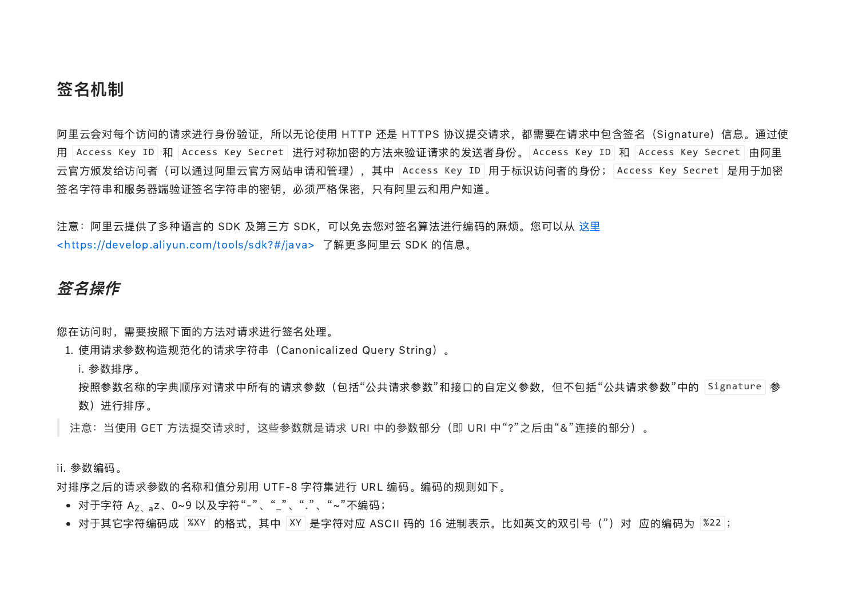#### 签名机制

阿里云会对每个访问的请求进行身份验证,所以无论使用 HTTP 还是 HTTPS 协议提交请求,都需要在请求中包含签名(Signature)信息。通过使 用 Access Key ID 和 Access Key Secret 进行对称加密的方法来验证请求的发送者身份。 Access Key ID 和 Access Key Secret 由阿里 云官方颁发给访问者(可以通过阿里云官方网站申请和管理),其中 |Access Key ID | 用于标识访问者的身份; |Access Key Secret | 是用于加密 签名字符串和服务器端验证签名字符串的密钥,必须严格保密,只有阿里云和用户知道。

注意:阿里云提供了多种语言的 SDK 及第三方 [SDK,可以免去您对签名算法进行编码的麻烦。您可以从](https://develop.aliyun.com/tools/sdk?#/java) 这里 <https://develop.aliyun.com/tools/sdk?#/java> 了解更多阿里云 SDK 的信息。

#### 签名操作

您在访问时,需要按照下面的方法对请求进行签名处理。

1. 使用请求参数构造规范化的请求字符串(Canonicalized Query String)。

i. 参数排序。

i. 参数排序。<br>按照参数名称的字典顺序对请求中所有的请求参数(包括"公共请求参数"和接口的自定义参数,但不包括"公共请求参数"中的「Signature<sup>」</sup>参 数)进行排序。

注意: 当使用 GET 方法提交请求时, 这些参数就是请求 URI 中的参数部分 (即 URI 中"?"之后由"&"连接的部分) 。

ii. 参数编码。

对排序之后的请求参数的名称和值分别用 UTF‑8 字符集进行 URL 编码。编码的规则如下。 对于字符 <sup>A</sup> z、0~<sup>9</sup> 以及字符"‑"、"\_"、"."、"~"不编码; Z、a

- 
- 对于字符 A<sub>Z、a</sub>z、0~9 以及字符"-"、"\_"、"."、"~"不编码;<br>对于其它字符编码成 <mark>多XY]的格式,其中 <mark>XY</mark> 是字符对应 ASCII 码的 16 进制表示。比如英文的双引号(")对 应的编码为 <mark>多22</mark>;</mark>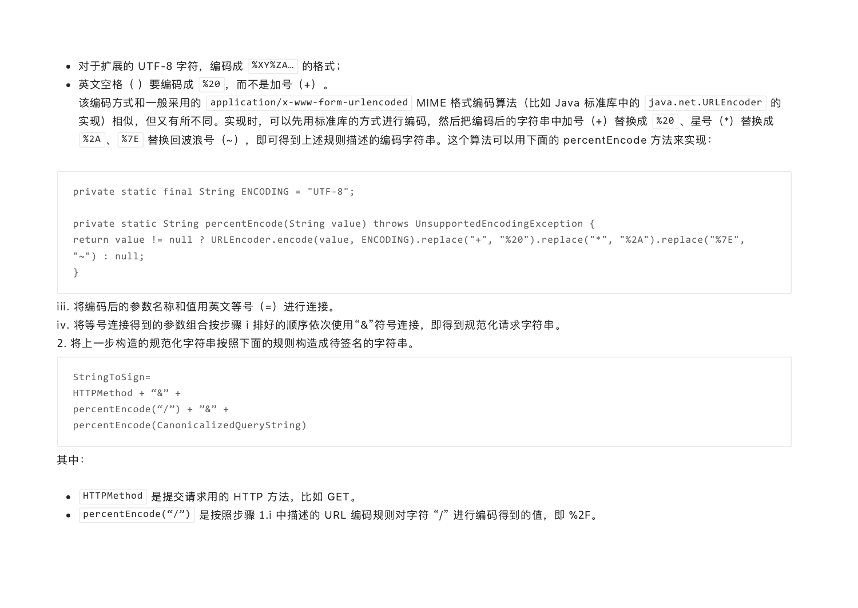- 对于扩展的 UTF-8 字符,编码成 |%XY%ZA... | 的格式;
- 英文空格( )要编码成 |%20 |,而不是加号(+)。

该编码方式和一般采用的 |application/x-www-form-urlencoded | MIME 格式编码算法(比如 Java 标准库中的 |java.net.URLEncoder | 的 实现)相似,但又有所不同。实现时,可以先用标准库的方式进行编码,然后把编码后的字符串中加号(+)替换成 <mark>※20</mark> 、星号(\*)替换成 %2A <mark>、 %7E </mark> 替换回波浪号(~),即可得到上述规则描述的编码字符串。这个算法可以用下面的 percentEncode 方法来实现:

```
private static final String ENCODING = "UTF‑8";
```

```
private static String percentEncode(String value) throws UnsupportedEncodingException {
return value != null ? URLEncoder.encode(value, ENCODING).replace("+", "%20").replace("*", "%2A").replace("%7E",
"\sim") : null;
}
```
iii. 将编码后的参数名称和值用英文等号(=)进行连接。

iv. 将等号连接得到的参数组合按步骤 <sup>i</sup> 排好的顺序依次使用"&"符号连接,即得到规范化请求字符串。

2. 将上一步构造的规范化字符串按照下面的规则构造成待签名的字符串。

```
StringToSign=
HTTPMethod + "&" +percentEncode("/") + "&" +
percentEncode(CanonicalizedQueryString)
```
#### 其中:

- HTTPMethod 是提交请求用的 HTTP 方法,比如 GET。
- HTTPMethod 是提交请求用的 HTTP 方法,比如 GET。<br>percentEncode("/") 是按照步骤 1.i 中描述的 URL 编码规则对字符 "/" 进行编码得到的值,即 %2F。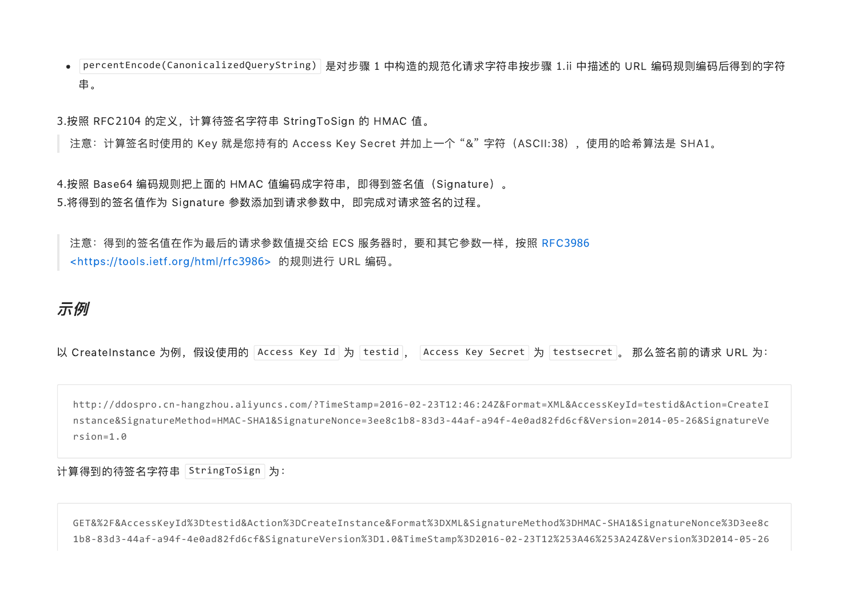percentEncode(CanonicalizedQueryString) 是对步骤 1 中构造的规范化请求字符串按步骤 1.ii 中描述的 URL 编码规则编码后得到的字符 串。

3.按照 RFC2104 的定义,计算待签名字符串 StringToSign 的 HMAC 值。

注意: 计算签名时使用的 Key 就是您持有的 Access Key Secret 并加上一个"&"字符 (ASCII:38), 使用的哈希算法是 SHA1。

4.按照 Base64 编码规则把上面的 HMAC 值编码成字符串, 即得到签名值 (Signature) 。 5.将得到的签名值作为 Signature 参数添加到请求参数中,即完成对请求签名的过程。

注意: 得到的签名值在作为最后的请求参数值提交给 ECS 服务器时, 要和其它参数一样, 按照 RFC3986 <https://tools.ietf.org/html/rfc3986> 的规则进行 URL 编码。

#### 示例

|  |  |  |  |  | 以 CreateInstance 为例,假设使用的  Access Key Id   为  testid  ,    Access Key Secret   为  testsecret  。 那么签名前的请求 URL 为: |
|--|--|--|--|--|-----------------------------------------------------------------------------------------------------------------|
|--|--|--|--|--|-----------------------------------------------------------------------------------------------------------------|

http://ddospro.cn‑hangzhou.aliyuncs.com/?TimeStamp=2016‑02‑23T12:46:24Z&Format=XML&AccessKeyId=testid&Action=CreateI nstance&SignatureMethod=HMAC‑SHA1&SignatureNonce=3ee8c1b8‑83d3‑44af‑a94f‑4e0ad82fd6cf&Version=2014‑05‑26&SignatureVe rsion=1.0

计算得到的待签名字符串 | StringToSign | 为: \_

GET&%2F&AccessKeyId%3Dtestid&Action%3DCreateInstance&Format%3DXML&SignatureMethod%3DHMAC‑SHA1&SignatureNonce%3D3ee8c 1b8‑83d3‑44af‑a94f‑4e0ad82fd6cf&SignatureVersion%3D1.0&TimeStamp%3D2016‑02‑23T12%253A46%253A24Z&Version%3D2014‑05‑26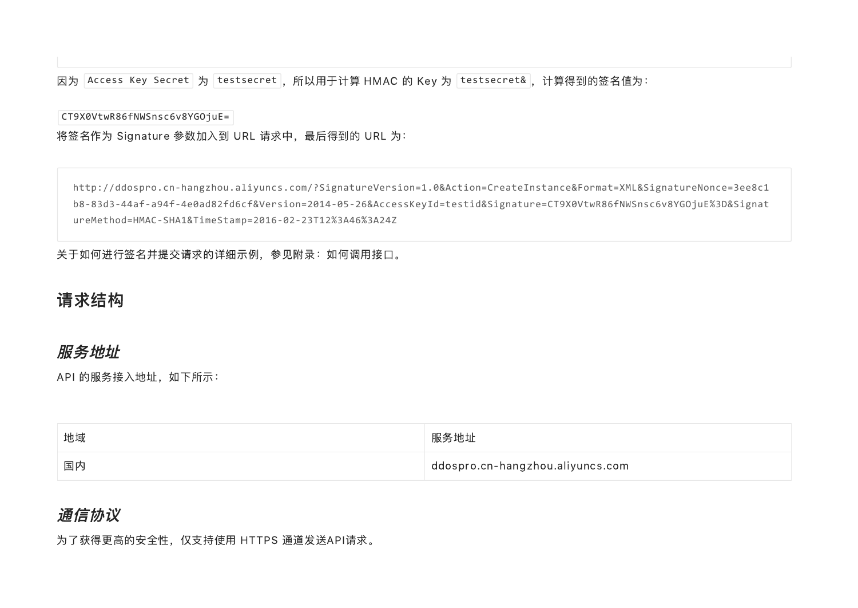因为 |Access Key Secret | 为 |testsecret |,所以用于计算 HMAC 的 Key 为 |testsecret& |,计算得到的签名值为:

CT9X0VtwR86fNWSnsc6v8YGOjuE=

将签名作为 Signature 参数加入到 URL 请求中, 最后得到的 URL 为:

http://ddospro.cn‑hangzhou.aliyuncs.com/?SignatureVersion=1.0&Action=CreateInstance&Format=XML&SignatureNonce=3ee8c1 b8‑83d3‑44af‑a94f‑4e0ad82fd6cf&Version=2014‑05‑26&AccessKeyId=testid&Signature=CT9X0VtwR86fNWSnsc6v8YGOjuE%3D&Signat ureMethod=HMAC‑SHA1&TimeStamp=2016‑02‑23T12%3A46%3A24Z

关于如何进行签名并提交请求的详细示例,参见附录:如何调用接口。

#### 请求结构

#### 服务地址

API 的服务接入地址, 如下所示:

| 地域 | 服务地址                             |
|----|----------------------------------|
| 国内 | ddospro.cn-hangzhou.aliyuncs.com |

#### 通信协议

为了获得更高的安全性,仅支持使用 HTTPS 通道发送API请求。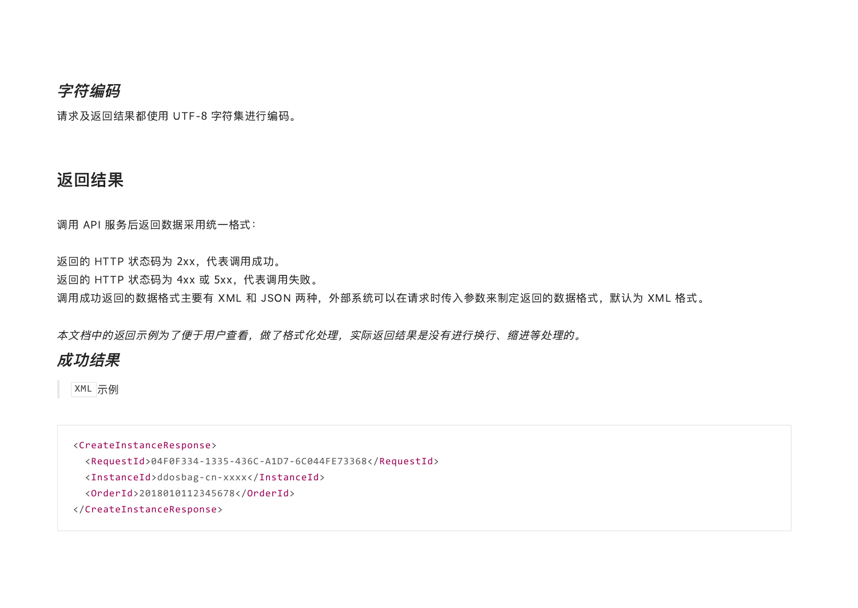#### 字符编码

请求及返回结果都使用 UTF‑8 字符集进行编码。

#### 返回结果

调用 API 服务后返回数据采用统一格式:

返回的 HTTP 状态码为 2xx,代表调用成功。 返回的 HTTP 状态码为 4xx 或 5xx,代表调用失败。 调用成功返回的数据格式主要有 XML 和 JSON 两种, 外部系统可以在请求时传入参数来制定返回的数据格式, 默认为 XML 格式。

本文档中的返回示例为了便于用户查看,做了格式化处理,实际返回结果是没有进行换行、缩进等处理的。

#### 成功结果

XML 示例

<CreateInstanceResponse> <RequestId>04F0F334‑1335‑436C‑A1D7‑6C044FE73368</RequestId> <InstanceId>ddosbag‑cn‑xxxx</InstanceId> <OrderId>2018010112345678</OrderId> </CreateInstanceResponse>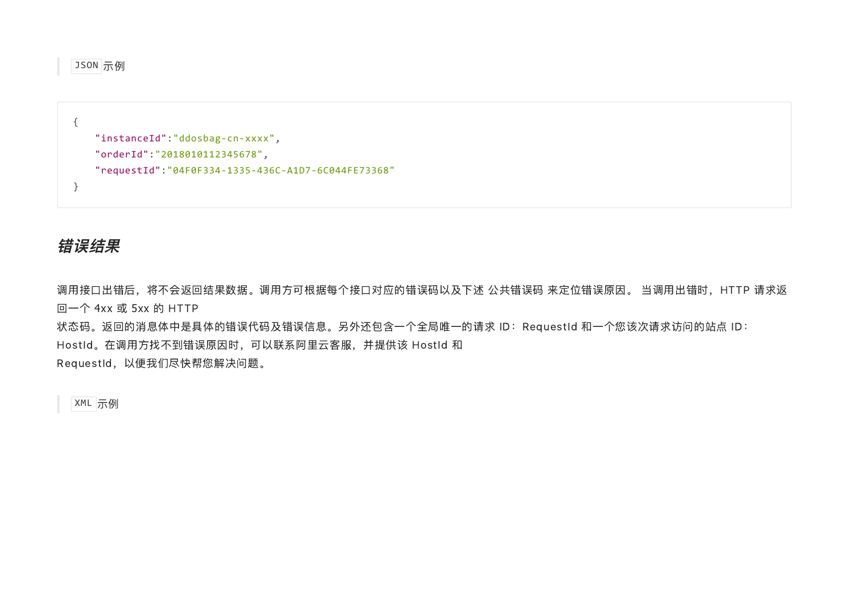JSON 示例

```
{
   "instanceId":"ddosbag‑cn‑xxxx",
   "orderId":"2018010112345678",
   "requestId":"04F0F334‑1335‑436C‑A1D7‑6C044FE73368"
}
```
#### 错误结果

调用接口出错后,将不会返回结果数据。调用方可根据每个接口对应的错误码以及下述 公共错误码 来定位错误原因。 当调用出错时,HTTP 请求返 回一个 4xx 或 5xx 的 HTTP

状态码。返回的消息体中是具体的错误代码及错误信息。另外还包含一个全局唯一的请求 ID:RequestId 和一个您该次请求访问的站点 ID: HostId。在调用方找不到错误原因时,可以联系阿里云客服,并提供该 HostId 和 RequestId, 以便我们尽快帮您解决问题。

XML 示例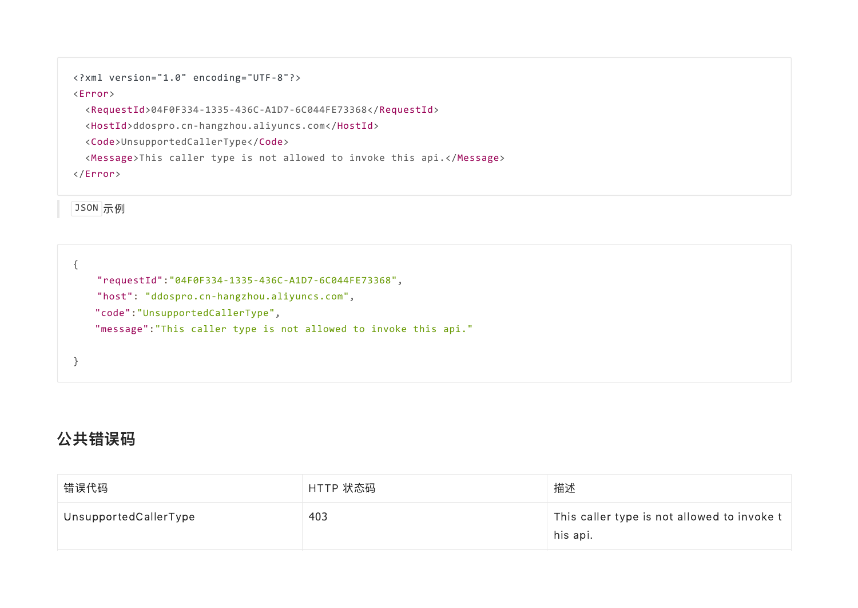```
<?xml version="1.0" encoding="UTF‑8"?>
```
#### <Error>

<RequestId>04F0F334‑1335‑436C‑A1D7‑6C044FE73368</RequestId>

<HostId>ddospro.cn‑hangzhou.aliyuncs.com</HostId>

<Code>UnsupportedCallerType</Code>

<Message>This caller type is not allowed to invoke this api.</Message>

</Error>

JSON 示例

```
{
    "requestId":"04F0F334‑1335‑436C‑A1D7‑6C044FE73368",
    "host": "ddospro.cn‑hangzhou.aliyuncs.com",
   "code":"UnsupportedCallerType",
   "message":"This caller type is not allowed to invoke this api."
}
```
## 公共错误码

| 错误代码                  | HTTP 状态码 | 描述                                                      |
|-----------------------|----------|---------------------------------------------------------|
| UnsupportedCallerType | 403      | This caller type is not allowed to invoke t<br>his api. |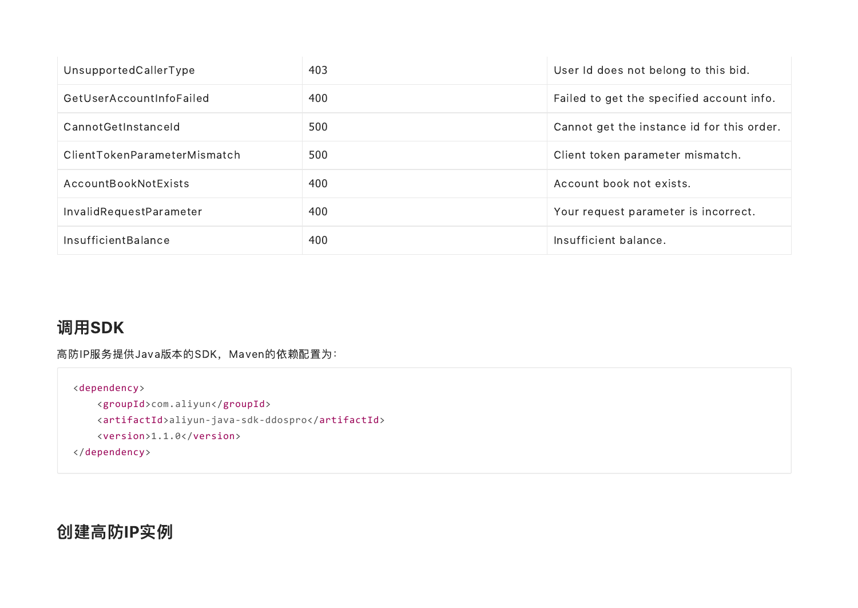| UnsupportedCallerType        | 403 | User Id does not belong to this bid.       |
|------------------------------|-----|--------------------------------------------|
| GetUserAccountInfoFailed     | 400 | Failed to get the specified account info.  |
| CannotGetInstanceld          | 500 | Cannot get the instance id for this order. |
| ClientTokenParameterMismatch | 500 | Client token parameter mismatch.           |
| AccountBookNotExists         | 400 | Account book not exists.                   |
| InvalidRequestParameter      | 400 | Your request parameter is incorrect.       |
| <b>InsufficientBalance</b>   | 400 | Insufficient balance.                      |

## 调用SDK

高防IP服务提供Java版本的SDK, Maven的依赖配置为:

```
<dependency>
    <groupId>com.aliyun</groupId>
    <artifactId>aliyun‑java‑sdk‑ddospro</artifactId>
    <version>1.1.0</version>
```

```
</dependency>
```
## 创建高防IP实例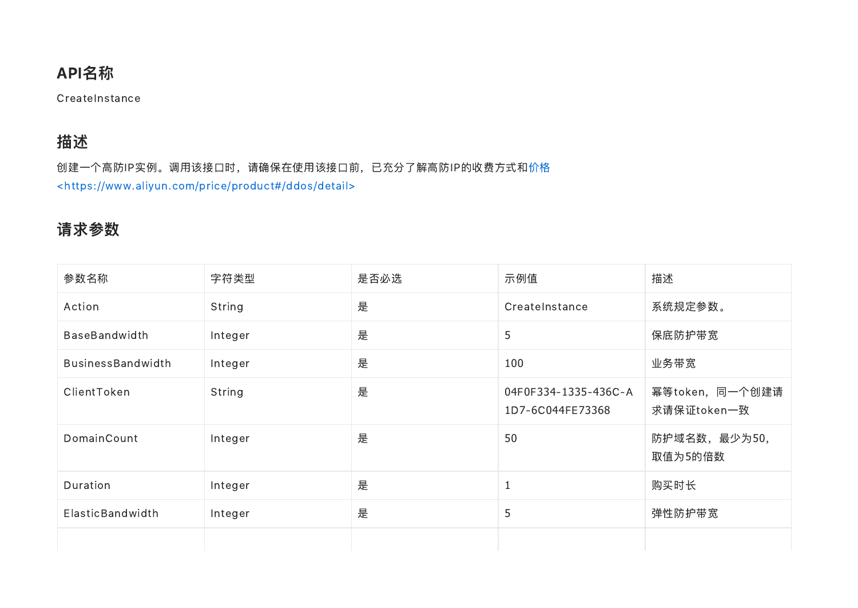## API名称

**CreateInstance** 

## 描述

[创建一个高防IP实例。调用该接口时,请确保在使用该接口前,已充分了解高防IP的收费方式和价格](https://www.aliyun.com/price/product#/ddos/detail) <https://www.aliyun.com/price/product#/ddos/detail>

## 请求参数

| 参数名称                     | 字符类型    | 是否必选 | 示例值                                      | 描述                             |
|--------------------------|---------|------|------------------------------------------|--------------------------------|
| Action                   | String  | 是    | CreateInstance                           | 系统规定参数。                        |
| <b>BaseBandwidth</b>     | Integer | 是    | 5                                        | 保底防护带宽                         |
| <b>BusinessBandwidth</b> | Integer | 是    | 100                                      | 业务带宽                           |
| ClientToken              | String  | 是    | 04F0F334-1335-436C-A<br>1D7-6C044FE73368 | 幂等token, 同一个创建请<br>求请保证token一致 |
| DomainCount              | Integer | 是    | 50                                       | 防护域名数, 最少为50,<br>取值为5的倍数       |
| Duration                 | Integer | 是    |                                          | 购买时长                           |
| ElasticBandwidth         | Integer | 是    | 5                                        | 弹性防护带宽                         |
|                          |         |      |                                          |                                |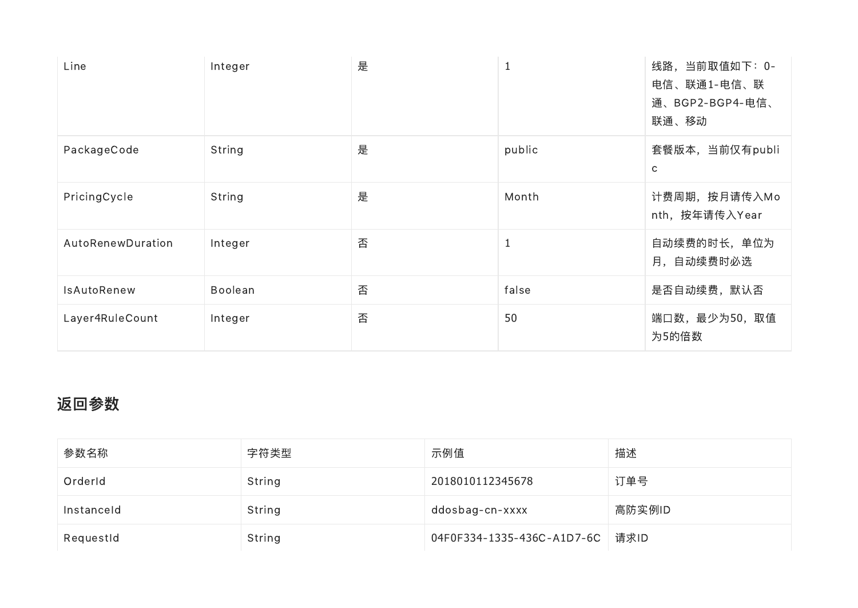| Line              | Integer | 是 | <b>T</b>     | 线路, 当前取值如下: 0-<br>电信、联通1-电信、联<br>通、BGP2-BGP4-电信、<br>联通、移动 |
|-------------------|---------|---|--------------|-----------------------------------------------------------|
| PackageCode       | String  | 是 | public       | 套餐版本, 当前仅有publi<br>C                                      |
| PricingCycle      | String  | 是 | Month        | 计费周期, 按月请传入Mo<br>nth, 按年请传入Year                           |
| AutoRenewDuration | Integer | 否 | $\mathbf{1}$ | 自动续费的时长, 单位为<br>月, 自动续费时必选                                |
| IsAutoRenew       | Boolean | 否 | false        | 是否自动续费,默认否                                                |
| Layer4RuleCount   | Integer | 否 | 50           | 端口数, 最少为50, 取值<br>为5的倍数                                   |

## 返回参数

| 参数名称       | 字符类型   | 示例值                               | 描述     |
|------------|--------|-----------------------------------|--------|
| OrderId    | String | 2018010112345678                  | 订单号    |
| Instanceld | String | ddosbag-cn-xxxx                   | 高防实例ID |
| RequestId  | String | 04F0F334-1335-436C-A1D7-6C   请求ID |        |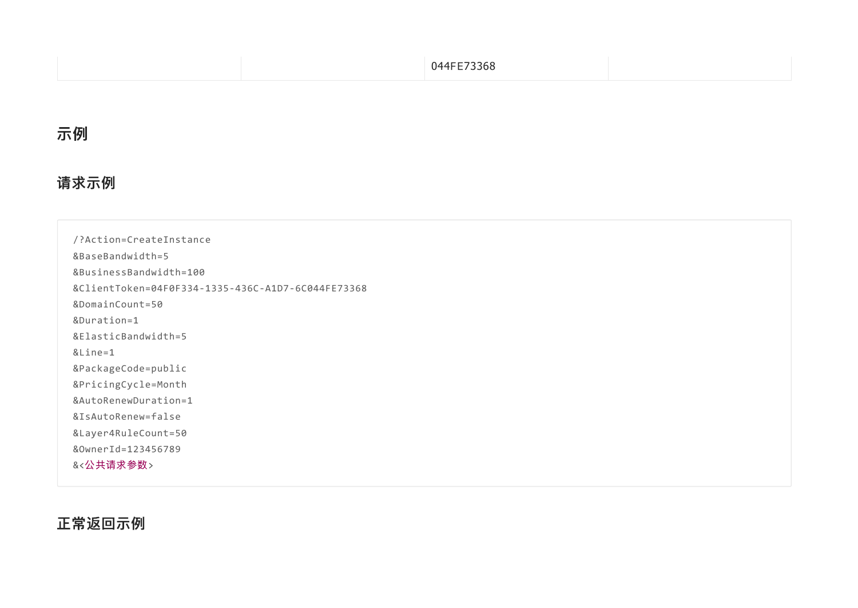#### 示例

#### 请求示例

/?Action=CreateInstance &BaseBandwidth=5 &BusinessBandwidth=100 &ClientToken=04F0F334‑1335‑436C‑A1D7‑6C044FE73368 &DomainCount=50 &Duration=1 &ElasticBandwidth=5 &Line=1 &PackageCode=public &PricingCycle=Month &AutoRenewDuration=1 &IsAutoRenew=false &Layer4RuleCount=50 &OwnerId=123456789 &<公共请求参数>

正常返回示例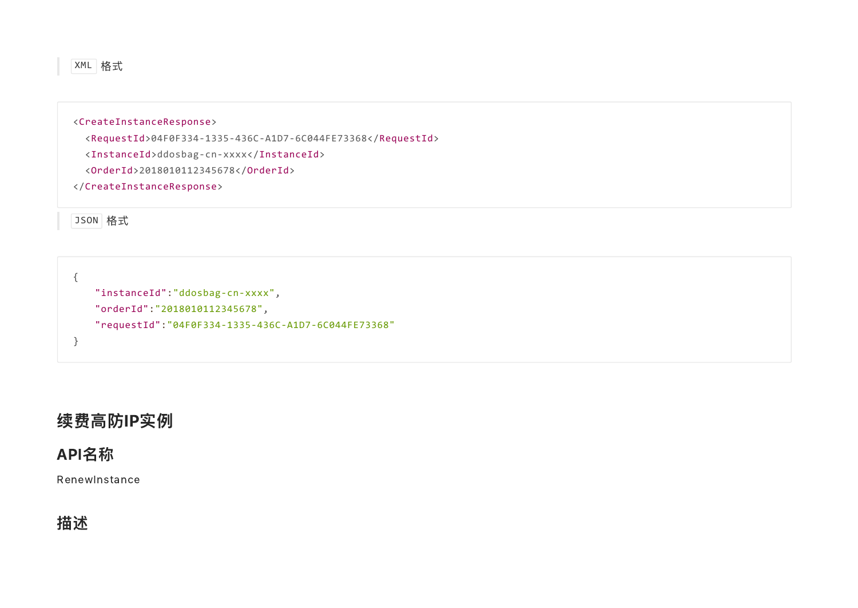

<CreateInstanceResponse> <RequestId>04F0F334‑1335‑436C‑A1D7‑6C044FE73368</RequestId> <InstanceId>ddosbag‑cn‑xxxx</InstanceId>

<OrderId>2018010112345678</OrderId>

</CreateInstanceResponse>

JSON 格式

{ "instanceId":"ddosbag‑cn‑xxxx", "orderId":"2018010112345678", "requestId":"04F0F334‑1335‑436C‑A1D7‑6C044FE73368" }

### 续费高防IP实例

#### API名称

RenewInstance

## 描述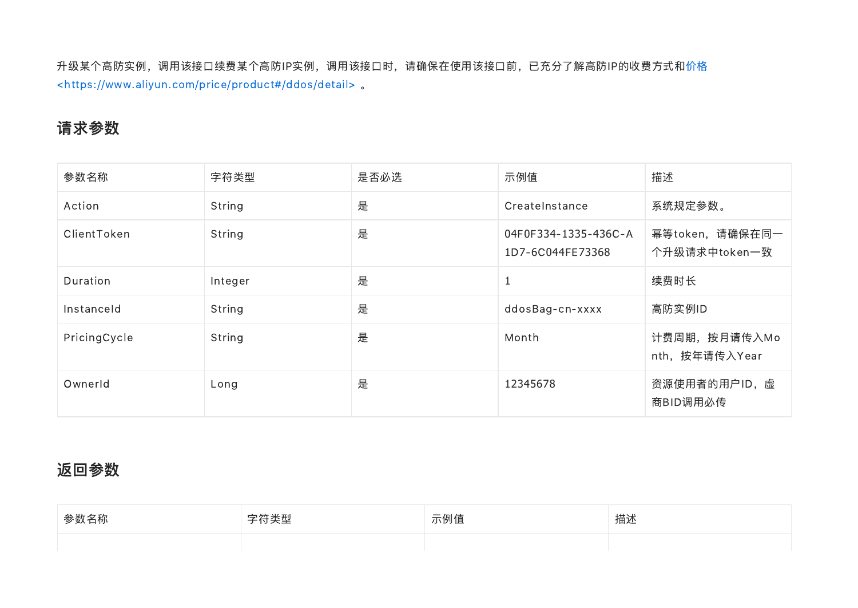[升级某个高防实例,调用该接口续费某个高防IP实例,调用该接口时,请确保在使用该接口前,已充分了解高防IP的收费方式和价格](https://www.aliyun.com/price/product#/ddos/detail) <https://www.aliyun.com/price/product#/ddos/detail> 。

### 请求参数

| 参数名称         | 字符类型    | 是否必选 | 示例值                                      | 描述                               |
|--------------|---------|------|------------------------------------------|----------------------------------|
| Action       | String  | 是    | CreateInstance                           | 系统规定参数。                          |
| ClientToken  | String  | 是    | 04F0F334-1335-436C-A<br>1D7-6C044FE73368 | 幂等token, 请确保在同一<br>个升级请求中token一致 |
| Duration     | Integer | 是    | $\mathbf{1}$                             | 续费时长                             |
| Instanceld   | String  | 是    | ddosBag-cn-xxxx                          | 高防实例ID                           |
| PricingCycle | String  | 是    | Month                                    | 计费周期, 按月请传入Mo<br>nth, 按年请传入Year  |
| Ownerld      | Long    | 是    | 12345678                                 | 资源使用者的用户ID, 虚<br>商BID调用必传        |

#### 返回参数

| 参数名称 | ホケ キャエル<br>ᅩ<br>≪≆ | 示例值 | 描述 |
|------|--------------------|-----|----|
|      |                    |     |    |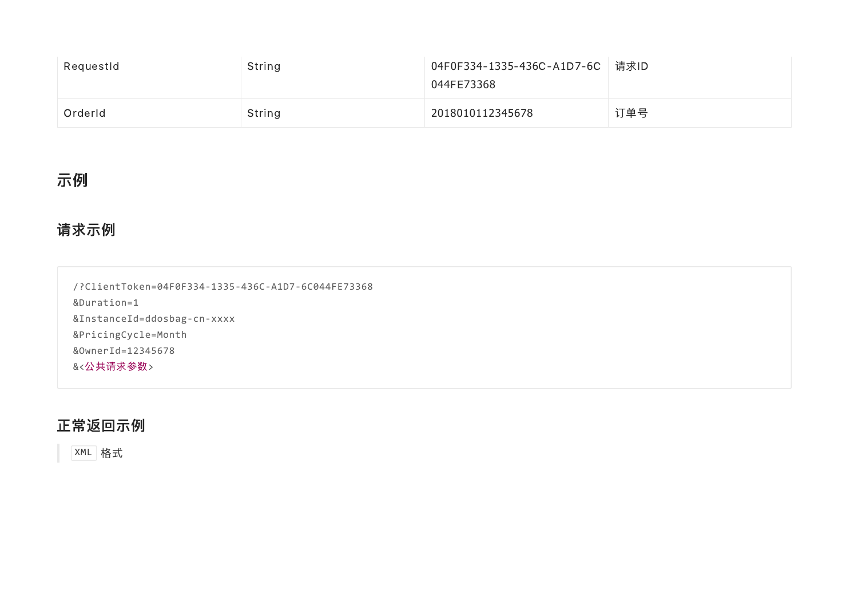| RequestId | String | 04F0F334-1335-436C-A1D7-6C 清求ID<br>044FE73368 |     |
|-----------|--------|-----------------------------------------------|-----|
| Orderld   | String | 2018010112345678                              | 订单号 |

## 示例

#### 请求示例

/?ClientToken=04F0F334‑1335‑436C‑A1D7‑6C044FE73368 &Duration=1 &InstanceId=ddosbag‑cn‑xxxx &PricingCycle=Month &OwnerId=12345678 &<公共请求参数>

#### 正常返回示例

XML 格式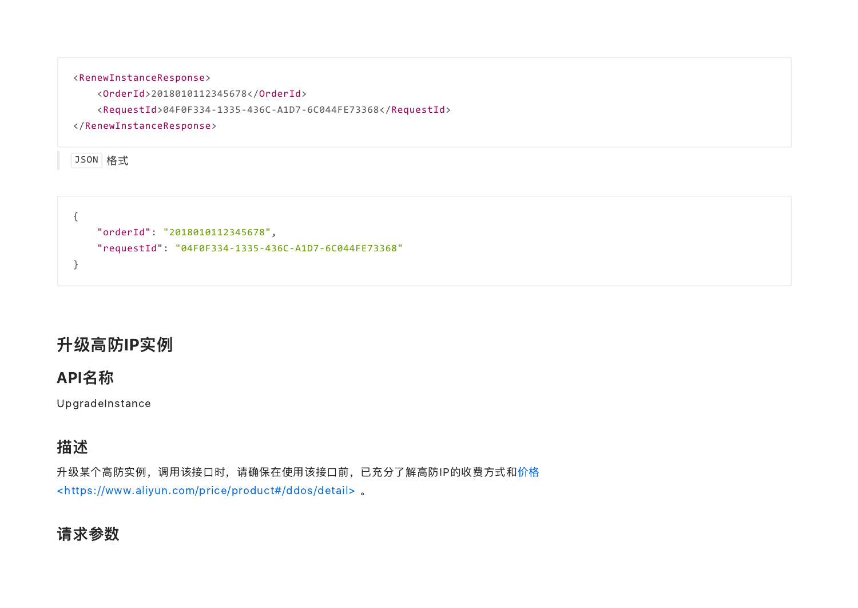

{ "orderId": "2018010112345678", "requestId": "04F0F334‑1335‑436C‑A1D7‑6C044FE73368" }

## 升级高防IP实例

#### API名称

UpgradeInstance

## 描述

[升级某个高防实例,调用该接口时,请确保在使用该接口前,已充分了解高防IP的收费方式和价格](https://www.aliyun.com/price/product#/ddos/detail) <https://www.aliyun.com/price/product#/ddos/detail> 。

#### 请求参数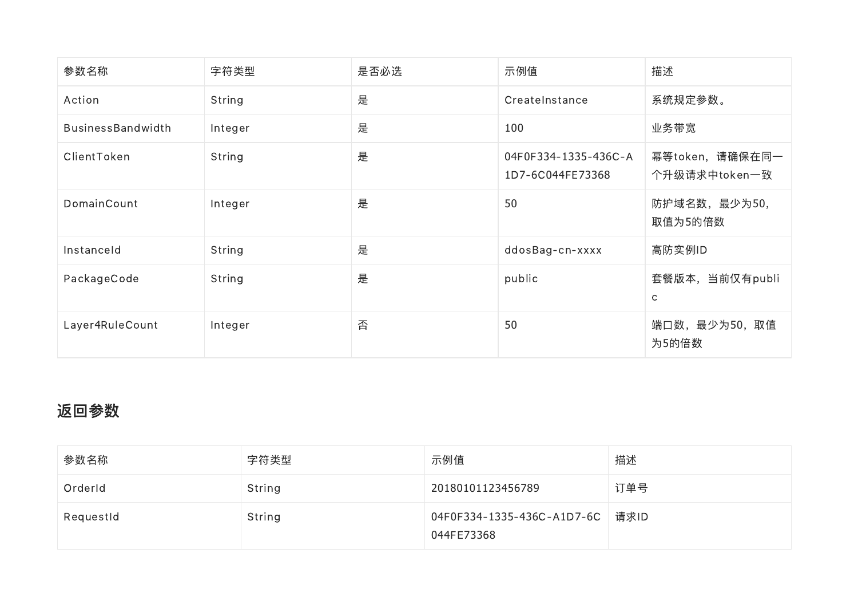| 参数名称              | 字符类型    | 是否必选 | 示例值                                      | 描述                               |
|-------------------|---------|------|------------------------------------------|----------------------------------|
| Action            | String  | 是    | CreateInstance                           | 系统规定参数。                          |
| BusinessBandwidth | Integer | 是    | 100                                      | 业务带宽                             |
| ClientToken       | String  | 是    | 04F0F334-1335-436C-A<br>1D7-6C044FE73368 | 幂等token, 请确保在同一<br>个升级请求中token一致 |
| DomainCount       | Integer | 是    | 50                                       | 防护域名数, 最少为50,<br>取值为5的倍数         |
| Instanceld        | String  | 是    | ddosBag-cn-xxxx                          | 高防实例ID                           |
| PackageCode       | String  | 是    | public                                   | 套餐版本, 当前仅有publi<br>$\mathsf{C}$  |
| Layer4RuleCount   | Integer | 否    | 50                                       | 端口数, 最少为50, 取值<br>为5的倍数          |

## 返回参数

| 参数名称      | 字符类型   | 示例值                                             | 描述  |
|-----------|--------|-------------------------------------------------|-----|
| OrderId   | String | 20180101123456789                               | 订单号 |
| RequestId | String | 04F0F334-1335-436C-A1D7-6C   请求ID<br>044FE73368 |     |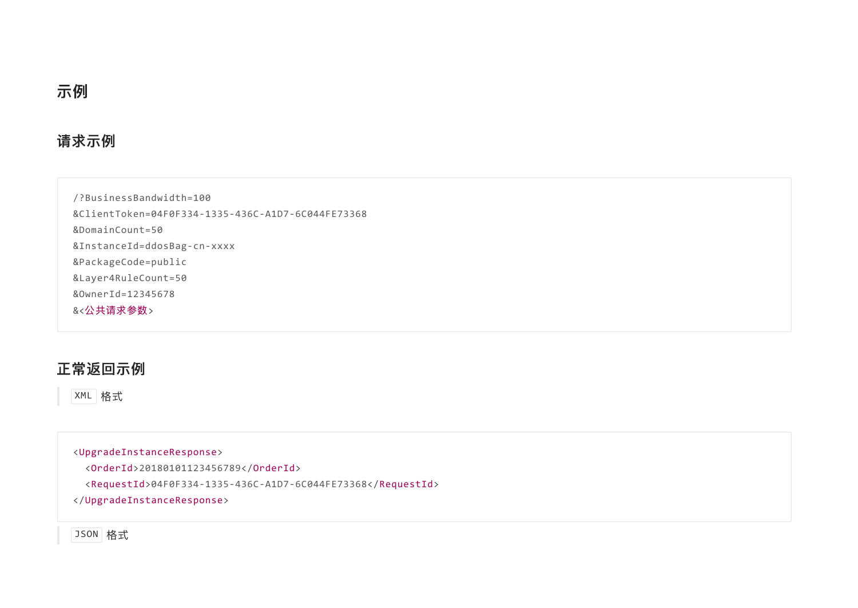#### 请求示例

/?BusinessBandwidth=100 &ClientToken=04F0F334‑1335‑436C‑A1D7‑6C044FE73368 &DomainCount=50 &InstanceId=ddosBag‑cn‑xxxx &PackageCode=public &Layer4RuleCount=50 &OwnerId=12345678 &<公共请求参数>

#### 正常返回示例

XML 格式

<UpgradeInstanceResponse> <OrderId>20180101123456789</OrderId> <RequestId>04F0F334‑1335‑436C‑A1D7‑6C044FE73368</RequestId> </UpgradeInstanceResponse>

JSON 格式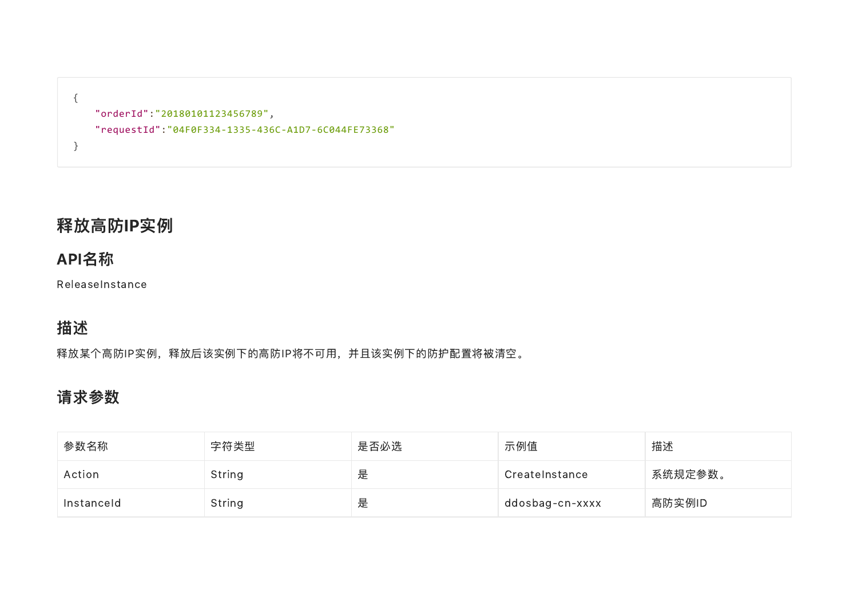```
{
   "orderId":"20180101123456789",
   "requestId":"04F0F334‑1335‑436C‑A1D7‑6C044FE73368"
}
```
## 释放高防IP实例

## API名称

ReleaseInstance

## 描述

释放某个高防IP实例,释放后该实例下的高防IP将不可用,并且该实例下的防护配置将被清空。

## 请求参数

| 参数名称       | 字符类型   | 是否必选 | 示例值             | 描述      |
|------------|--------|------|-----------------|---------|
| Action     | String | 是    | CreateInstance  | 系统规定参数。 |
| Instanceld | String | 是    | ddosbag-cn-xxxx | 高防实例ID  |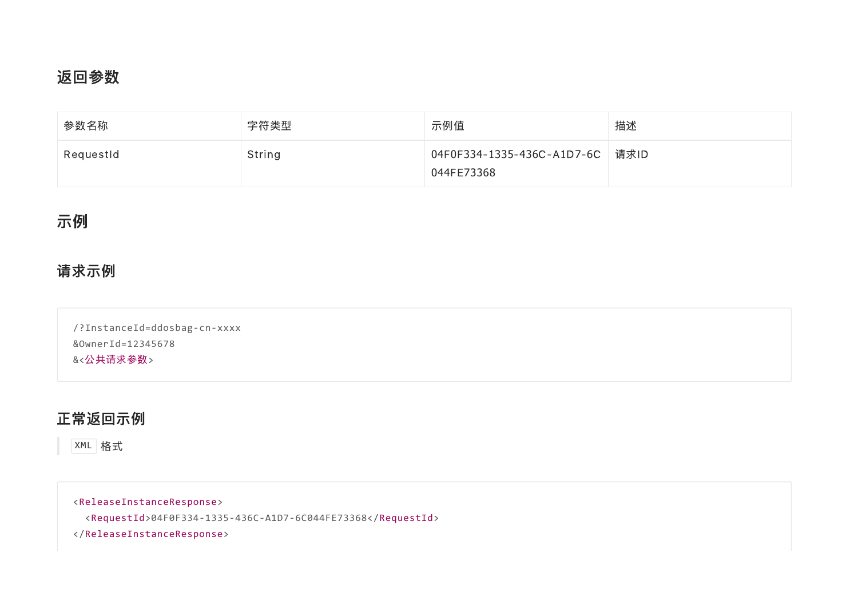#### 返回参数

| 参数名称      | 字符类型   | 示例值                                             | 描述 |
|-----------|--------|-------------------------------------------------|----|
| RequestId | String | 04F0F334-1335-436C-A1D7-6C   请求ID<br>044FE73368 |    |

#### 示例

#### 请求示例

/?InstanceId=ddosbag‑cn‑xxxx &OwnerId=12345678 &<公共请求参数>

#### 正常返回示例

XML 格式

<ReleaseInstanceResponse>

<RequestId>04F0F334‑1335‑436C‑A1D7‑6C044FE73368</RequestId>

</ReleaseInstanceResponse>